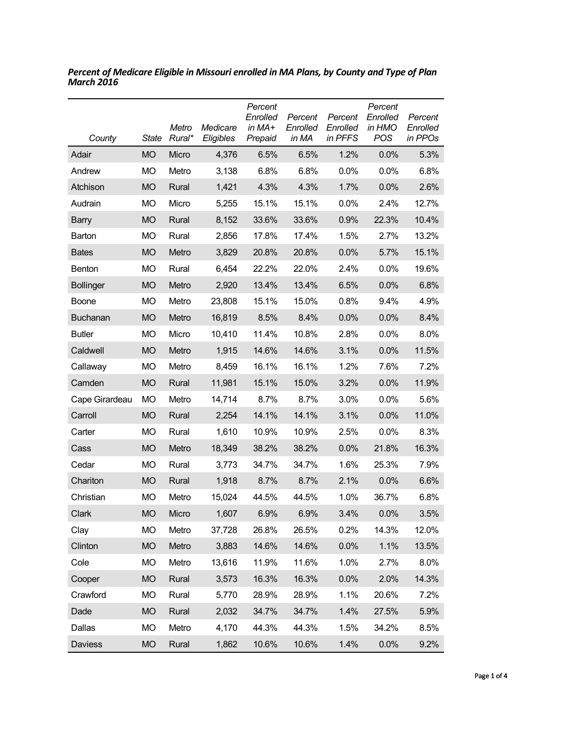| County           | State     | Metro<br>Rural* | Medicare<br>Eligibles | Percent<br>Enrolled<br>in MA+<br>Prepaid | Percent<br>Enrolled<br>in MA | Percent<br>Enrolled<br>in PFFS | Percent<br>Enrolled<br>in HMO<br>POS | Percent<br>Enrolled<br>in PPOs |
|------------------|-----------|-----------------|-----------------------|------------------------------------------|------------------------------|--------------------------------|--------------------------------------|--------------------------------|
| Adair            | <b>MO</b> | Micro           | 4,376                 | 6.5%                                     | 6.5%                         | 1.2%                           | 0.0%                                 | 5.3%                           |
| Andrew           | <b>MO</b> | Metro           | 3,138                 | 6.8%                                     | 6.8%                         | 0.0%                           | 0.0%                                 | 6.8%                           |
| Atchison         | <b>MO</b> | Rural           | 1,421                 | 4.3%                                     | 4.3%                         | 1.7%                           | 0.0%                                 | 2.6%                           |
| Audrain          | <b>MO</b> | Micro           | 5,255                 | 15.1%                                    | 15.1%                        | 0.0%                           | 2.4%                                 | 12.7%                          |
| <b>Barry</b>     | <b>MO</b> | Rural           | 8,152                 | 33.6%                                    | 33.6%                        | 0.9%                           | 22.3%                                | 10.4%                          |
| Barton           | МO        | Rural           | 2,856                 | 17.8%                                    | 17.4%                        | 1.5%                           | 2.7%                                 | 13.2%                          |
| <b>Bates</b>     | <b>MO</b> | Metro           | 3,829                 | 20.8%                                    | 20.8%                        | 0.0%                           | 5.7%                                 | 15.1%                          |
| Benton           | <b>MO</b> | Rural           | 6,454                 | 22.2%                                    | 22.0%                        | 2.4%                           | 0.0%                                 | 19.6%                          |
| <b>Bollinger</b> | <b>MO</b> | Metro           | 2,920                 | 13.4%                                    | 13.4%                        | 6.5%                           | 0.0%                                 | 6.8%                           |
| Boone            | МO        | Metro           | 23,808                | 15.1%                                    | 15.0%                        | 0.8%                           | 9.4%                                 | 4.9%                           |
| Buchanan         | <b>MO</b> | Metro           | 16,819                | 8.5%                                     | 8.4%                         | 0.0%                           | 0.0%                                 | 8.4%                           |
| <b>Butler</b>    | <b>MO</b> | Micro           | 10,410                | 11.4%                                    | 10.8%                        | 2.8%                           | 0.0%                                 | 8.0%                           |
| Caldwell         | <b>MO</b> | Metro           | 1,915                 | 14.6%                                    | 14.6%                        | 3.1%                           | 0.0%                                 | 11.5%                          |
| Callaway         | МO        | Metro           | 8,459                 | 16.1%                                    | 16.1%                        | 1.2%                           | 7.6%                                 | 7.2%                           |
| Camden           | <b>MO</b> | Rural           | 11,981                | 15.1%                                    | 15.0%                        | 3.2%                           | 0.0%                                 | 11.9%                          |
| Cape Girardeau   | МO        | Metro           | 14,714                | 8.7%                                     | 8.7%                         | 3.0%                           | 0.0%                                 | 5.6%                           |
| Carroll          | <b>MO</b> | Rural           | 2,254                 | 14.1%                                    | 14.1%                        | 3.1%                           | 0.0%                                 | 11.0%                          |
| Carter           | <b>MO</b> | Rural           | 1,610                 | 10.9%                                    | 10.9%                        | 2.5%                           | 0.0%                                 | 8.3%                           |
| Cass             | <b>MO</b> | Metro           | 18,349                | 38.2%                                    | 38.2%                        | 0.0%                           | 21.8%                                | 16.3%                          |
| Cedar            | <b>MO</b> | Rural           | 3,773                 | 34.7%                                    | 34.7%                        | 1.6%                           | 25.3%                                | 7.9%                           |
| Chariton         | <b>MO</b> | Rural           | 1,918                 | 8.7%                                     | 8.7%                         | 2.1%                           | 0.0%                                 | 6.6%                           |
| Christian        | MO        | Metro           | 15,024                | 44.5%                                    | 44.5%                        | 1.0%                           | 36.7%                                | 6.8%                           |
| Clark            | <b>MO</b> | Micro           | 1,607                 | 6.9%                                     | 6.9%                         | 3.4%                           | 0.0%                                 | 3.5%                           |
| Clay             | MO        | Metro           | 37,728                | 26.8%                                    | 26.5%                        | 0.2%                           | 14.3%                                | 12.0%                          |
| Clinton          | <b>MO</b> | Metro           | 3,883                 | 14.6%                                    | 14.6%                        | 0.0%                           | 1.1%                                 | 13.5%                          |
| Cole             | MO        | Metro           | 13,616                | 11.9%                                    | 11.6%                        | 1.0%                           | 2.7%                                 | 8.0%                           |
| Cooper           | <b>MO</b> | Rural           | 3,573                 | 16.3%                                    | 16.3%                        | 0.0%                           | 2.0%                                 | 14.3%                          |
| Crawford         | MO        | Rural           | 5,770                 | 28.9%                                    | 28.9%                        | 1.1%                           | 20.6%                                | 7.2%                           |
| Dade             | <b>MO</b> | Rural           | 2,032                 | 34.7%                                    | 34.7%                        | 1.4%                           | 27.5%                                | 5.9%                           |
| Dallas           | MO        | Metro           | 4,170                 | 44.3%                                    | 44.3%                        | 1.5%                           | 34.2%                                | 8.5%                           |
| Daviess          | <b>MO</b> | Rural           | 1,862                 | 10.6%                                    | 10.6%                        | 1.4%                           | 0.0%                                 | 9.2%                           |

*Percent of Medicare Eligible in Missouri enrolled in MA Plans, by County and Type of Plan March 2016*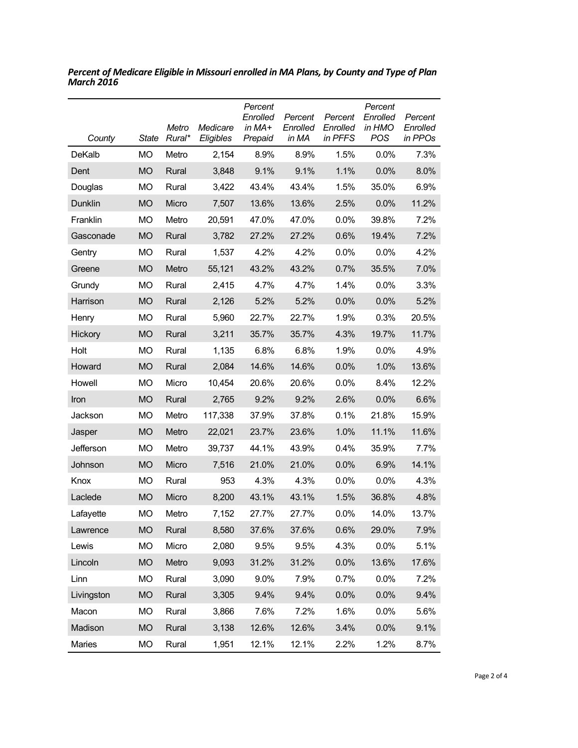| County     | State     | Metro<br>Rural* | Medicare<br>Eligibles | Percent<br>Enrolled<br>in MA+<br>Prepaid | Percent<br>Enrolled<br>in MA | Percent<br>Enrolled<br>in PFFS | Percent<br>Enrolled<br>in HMO<br><b>POS</b> | Percent<br>Enrolled<br>in PPOs |
|------------|-----------|-----------------|-----------------------|------------------------------------------|------------------------------|--------------------------------|---------------------------------------------|--------------------------------|
| DeKalb     | МO        | Metro           | 2,154                 | 8.9%                                     | 8.9%                         | 1.5%                           | 0.0%                                        | 7.3%                           |
| Dent       | <b>MO</b> | Rural           | 3,848                 | 9.1%                                     | 9.1%                         | 1.1%                           | 0.0%                                        | 8.0%                           |
| Douglas    | МO        | Rural           | 3,422                 | 43.4%                                    | 43.4%                        | 1.5%                           | 35.0%                                       | 6.9%                           |
| Dunklin    | <b>MO</b> | Micro           | 7,507                 | 13.6%                                    | 13.6%                        | 2.5%                           | 0.0%                                        | 11.2%                          |
| Franklin   | <b>MO</b> | Metro           | 20,591                | 47.0%                                    | 47.0%                        | 0.0%                           | 39.8%                                       | 7.2%                           |
| Gasconade  | <b>MO</b> | Rural           | 3,782                 | 27.2%                                    | 27.2%                        | 0.6%                           | 19.4%                                       | 7.2%                           |
| Gentry     | МO        | Rural           | 1,537                 | 4.2%                                     | 4.2%                         | 0.0%                           | 0.0%                                        | 4.2%                           |
| Greene     | <b>MO</b> | Metro           | 55,121                | 43.2%                                    | 43.2%                        | 0.7%                           | 35.5%                                       | 7.0%                           |
| Grundy     | МO        | Rural           | 2,415                 | 4.7%                                     | 4.7%                         | 1.4%                           | 0.0%                                        | 3.3%                           |
| Harrison   | <b>MO</b> | Rural           | 2,126                 | 5.2%                                     | 5.2%                         | 0.0%                           | 0.0%                                        | 5.2%                           |
| Henry      | МO        | Rural           | 5,960                 | 22.7%                                    | 22.7%                        | 1.9%                           | 0.3%                                        | 20.5%                          |
| Hickory    | <b>MO</b> | Rural           | 3,211                 | 35.7%                                    | 35.7%                        | 4.3%                           | 19.7%                                       | 11.7%                          |
| Holt       | МO        | Rural           | 1,135                 | 6.8%                                     | 6.8%                         | 1.9%                           | 0.0%                                        | 4.9%                           |
| Howard     | <b>MO</b> | Rural           | 2,084                 | 14.6%                                    | 14.6%                        | 0.0%                           | 1.0%                                        | 13.6%                          |
| Howell     | <b>MO</b> | Micro           | 10,454                | 20.6%                                    | 20.6%                        | 0.0%                           | 8.4%                                        | 12.2%                          |
| Iron       | <b>MO</b> | Rural           | 2,765                 | 9.2%                                     | 9.2%                         | 2.6%                           | 0.0%                                        | 6.6%                           |
| Jackson    | МO        | Metro           | 117,338               | 37.9%                                    | 37.8%                        | 0.1%                           | 21.8%                                       | 15.9%                          |
| Jasper     | <b>MO</b> | Metro           | 22,021                | 23.7%                                    | 23.6%                        | 1.0%                           | 11.1%                                       | 11.6%                          |
| Jefferson  | <b>MO</b> | Metro           | 39,737                | 44.1%                                    | 43.9%                        | 0.4%                           | 35.9%                                       | 7.7%                           |
| Johnson    | <b>MO</b> | Micro           | 7,516                 | 21.0%                                    | 21.0%                        | 0.0%                           | 6.9%                                        | 14.1%                          |
| Knox       | МO        | Rural           | 953                   | 4.3%                                     | 4.3%                         | 0.0%                           | 0.0%                                        | 4.3%                           |
| Laclede    | <b>MO</b> | Micro           | 8,200                 | 43.1%                                    | 43.1%                        | 1.5%                           | 36.8%                                       | 4.8%                           |
| Lafayette  | МO        | Metro           | 7,152                 | 27.7%                                    | 27.7%                        | 0.0%                           | 14.0%                                       | 13.7%                          |
| Lawrence   | <b>MO</b> | Rural           | 8,580                 | 37.6%                                    | 37.6%                        | 0.6%                           | 29.0%                                       | 7.9%                           |
| Lewis      | <b>MO</b> | Micro           | 2,080                 | 9.5%                                     | 9.5%                         | 4.3%                           | 0.0%                                        | 5.1%                           |
| Lincoln    | <b>MO</b> | Metro           | 9,093                 | 31.2%                                    | 31.2%                        | 0.0%                           | 13.6%                                       | 17.6%                          |
| Linn       | <b>MO</b> | Rural           | 3,090                 | 9.0%                                     | 7.9%                         | 0.7%                           | 0.0%                                        | 7.2%                           |
| Livingston | <b>MO</b> | Rural           | 3,305                 | 9.4%                                     | 9.4%                         | 0.0%                           | 0.0%                                        | 9.4%                           |
| Macon      | MO        | Rural           | 3,866                 | 7.6%                                     | 7.2%                         | 1.6%                           | 0.0%                                        | 5.6%                           |
| Madison    | <b>MO</b> | Rural           | 3,138                 | 12.6%                                    | 12.6%                        | 3.4%                           | 0.0%                                        | 9.1%                           |
| Maries     | <b>MO</b> | Rural           | 1,951                 | 12.1%                                    | 12.1%                        | 2.2%                           | 1.2%                                        | 8.7%                           |

*Percent of Medicare Eligible in Missouri enrolled in MA Plans, by County and Type of Plan March 2016*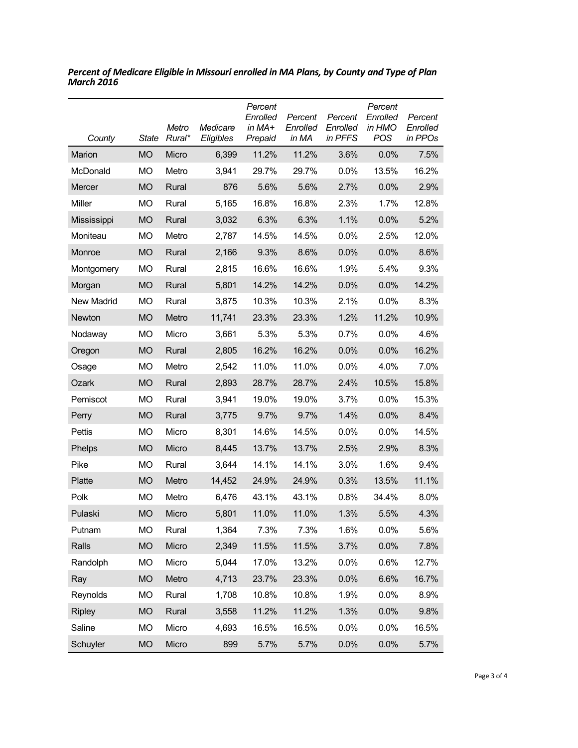| County            | State     | Metro<br>Rural* | Medicare<br>Eligibles | Percent<br>Enrolled<br>in MA+<br>Prepaid | Percent<br>Enrolled<br>in MA | Percent<br>Enrolled<br>in PFFS | Percent<br>Enrolled<br>in HMO<br>POS | Percent<br>Enrolled<br>in PPOs |
|-------------------|-----------|-----------------|-----------------------|------------------------------------------|------------------------------|--------------------------------|--------------------------------------|--------------------------------|
| Marion            | <b>MO</b> | Micro           | 6,399                 | 11.2%                                    | 11.2%                        | 3.6%                           | 0.0%                                 | 7.5%                           |
| McDonald          | <b>MO</b> | Metro           | 3,941                 | 29.7%                                    | 29.7%                        | 0.0%                           | 13.5%                                | 16.2%                          |
| Mercer            | <b>MO</b> | Rural           | 876                   | 5.6%                                     | 5.6%                         | 2.7%                           | 0.0%                                 | 2.9%                           |
| Miller            | MO        | Rural           | 5,165                 | 16.8%                                    | 16.8%                        | 2.3%                           | 1.7%                                 | 12.8%                          |
| Mississippi       | <b>MO</b> | Rural           | 3,032                 | 6.3%                                     | 6.3%                         | 1.1%                           | 0.0%                                 | 5.2%                           |
| Moniteau          | <b>MO</b> | Metro           | 2,787                 | 14.5%                                    | 14.5%                        | 0.0%                           | 2.5%                                 | 12.0%                          |
| Monroe            | <b>MO</b> | Rural           | 2,166                 | 9.3%                                     | 8.6%                         | 0.0%                           | 0.0%                                 | 8.6%                           |
| Montgomery        | <b>MO</b> | Rural           | 2,815                 | 16.6%                                    | 16.6%                        | 1.9%                           | 5.4%                                 | 9.3%                           |
| Morgan            | <b>MO</b> | Rural           | 5,801                 | 14.2%                                    | 14.2%                        | 0.0%                           | 0.0%                                 | 14.2%                          |
| <b>New Madrid</b> | MO        | Rural           | 3,875                 | 10.3%                                    | 10.3%                        | 2.1%                           | 0.0%                                 | 8.3%                           |
| Newton            | <b>MO</b> | Metro           | 11,741                | 23.3%                                    | 23.3%                        | 1.2%                           | 11.2%                                | 10.9%                          |
| Nodaway           | MO        | Micro           | 3,661                 | 5.3%                                     | 5.3%                         | 0.7%                           | 0.0%                                 | 4.6%                           |
| Oregon            | <b>MO</b> | Rural           | 2,805                 | 16.2%                                    | 16.2%                        | 0.0%                           | 0.0%                                 | 16.2%                          |
| Osage             | MO        | Metro           | 2,542                 | 11.0%                                    | 11.0%                        | 0.0%                           | 4.0%                                 | 7.0%                           |
| Ozark             | <b>MO</b> | Rural           | 2,893                 | 28.7%                                    | 28.7%                        | 2.4%                           | 10.5%                                | 15.8%                          |
| Pemiscot          | MO        | Rural           | 3,941                 | 19.0%                                    | 19.0%                        | 3.7%                           | 0.0%                                 | 15.3%                          |
| Perry             | <b>MO</b> | Rural           | 3,775                 | 9.7%                                     | 9.7%                         | 1.4%                           | 0.0%                                 | 8.4%                           |
| Pettis            | <b>MO</b> | Micro           | 8,301                 | 14.6%                                    | 14.5%                        | 0.0%                           | 0.0%                                 | 14.5%                          |
| Phelps            | <b>MO</b> | Micro           | 8,445                 | 13.7%                                    | 13.7%                        | 2.5%                           | 2.9%                                 | 8.3%                           |
| Pike              | MO        | Rural           | 3,644                 | 14.1%                                    | 14.1%                        | 3.0%                           | 1.6%                                 | 9.4%                           |
| Platte            | <b>MO</b> | Metro           | 14,452                | 24.9%                                    | 24.9%                        | 0.3%                           | 13.5%                                | 11.1%                          |
| Polk              | МO        | Metro           | 6,476                 | 43.1%                                    | 43.1%                        | 0.8%                           | 34.4%                                | 8.0%                           |
| Pulaski           | <b>MO</b> | Micro           | 5,801                 | 11.0%                                    | 11.0%                        | 1.3%                           | 5.5%                                 | 4.3%                           |
| Putnam            | <b>MO</b> | Rural           | 1,364                 | 7.3%                                     | 7.3%                         | 1.6%                           | 0.0%                                 | 5.6%                           |
| Ralls             | <b>MO</b> | Micro           | 2,349                 | 11.5%                                    | 11.5%                        | 3.7%                           | 0.0%                                 | 7.8%                           |
| Randolph          | <b>MO</b> | Micro           | 5,044                 | 17.0%                                    | 13.2%                        | 0.0%                           | 0.6%                                 | 12.7%                          |
| Ray               | <b>MO</b> | Metro           | 4,713                 | 23.7%                                    | 23.3%                        | 0.0%                           | 6.6%                                 | 16.7%                          |
| Reynolds          | <b>MO</b> | Rural           | 1,708                 | 10.8%                                    | 10.8%                        | 1.9%                           | 0.0%                                 | 8.9%                           |
| <b>Ripley</b>     | <b>MO</b> | Rural           | 3,558                 | 11.2%                                    | 11.2%                        | 1.3%                           | 0.0%                                 | 9.8%                           |
| Saline            | <b>MO</b> | Micro           | 4,693                 | 16.5%                                    | 16.5%                        | 0.0%                           | 0.0%                                 | 16.5%                          |
| Schuyler          | <b>MO</b> | Micro           | 899                   | 5.7%                                     | 5.7%                         | 0.0%                           | 0.0%                                 | 5.7%                           |

*Percent of Medicare Eligible in Missouri enrolled in MA Plans, by County and Type of Plan March 2016*